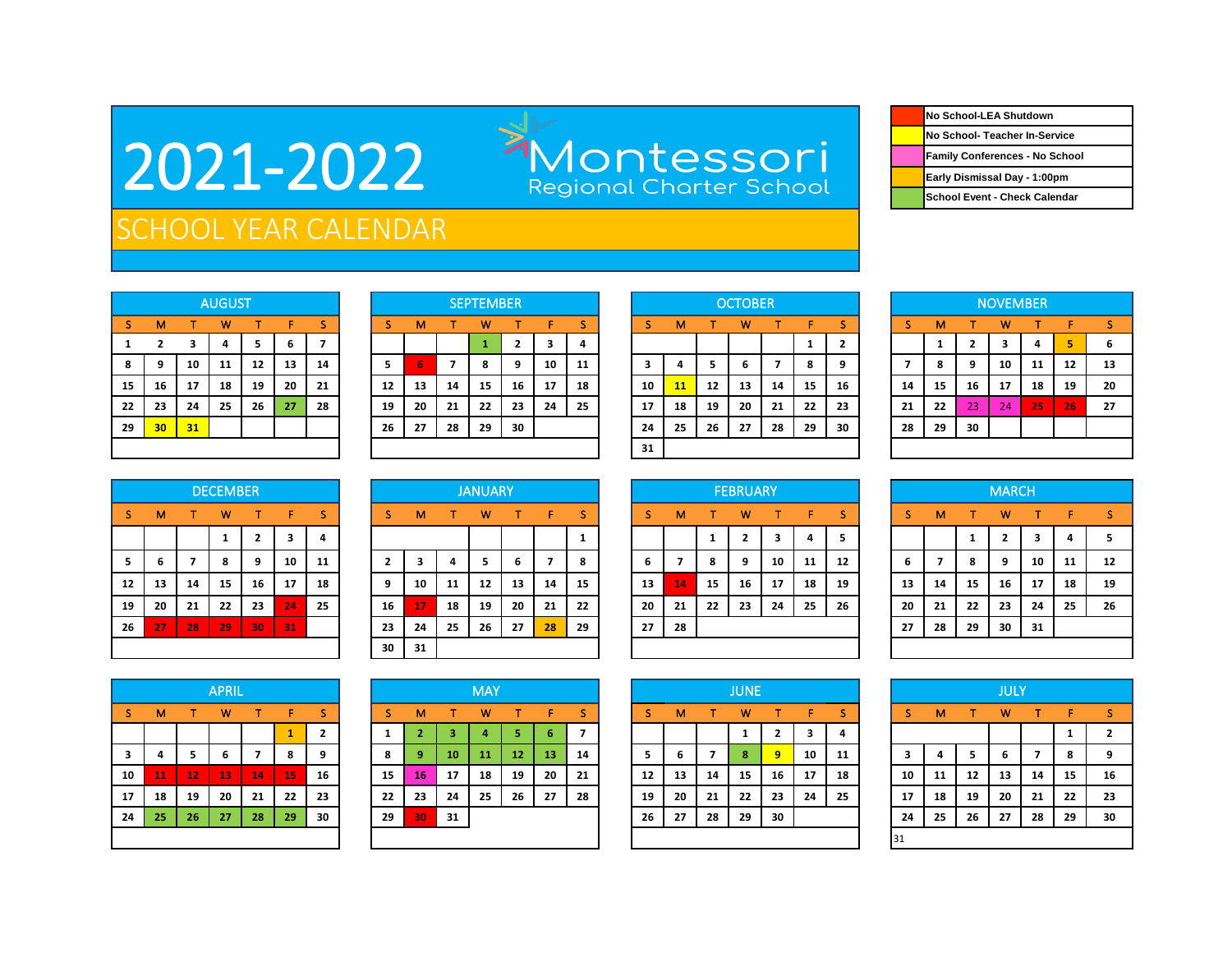## 2021-2022

## Montessori<br>Regional Charter School

| No School-LEA Shutdown                |
|---------------------------------------|
| No School- Teacher In-Service         |
| <b>Family Conferences - No School</b> |
| Early Dismissal Day - 1:00pm          |
| School Event - Check Calendar         |

### SCHOOL YEAR CALENDAR

|    |                |    | <b>AUGUST</b> |    |    |    |
|----|----------------|----|---------------|----|----|----|
| s  | м              |    | W             |    | F  | s  |
| 1  | $\overline{2}$ | 3  | 4             | 5  | 6  | 7  |
| 8  | 9              | 10 | 11            | 12 | 13 | 14 |
| 15 | 16             | 17 | 18            | 19 | 20 | 21 |
| 22 | 23             | 24 | 25            | 26 | 27 | 28 |
| 29 | 30             | 31 |               |    |    |    |
|    |                |    |               |    |    |    |

|    |                 |    | <b>AUGUST</b> |    |    |    |    |    |    | <b>SEPTEMBER</b> |    |    |    |    |    |    | <b>OCTOBER</b> |    |    |        |    |    |    | <b>NOVEMBER</b> |    |    |    |
|----|-----------------|----|---------------|----|----|----|----|----|----|------------------|----|----|----|----|----|----|----------------|----|----|--------|----|----|----|-----------------|----|----|----|
| s. | м               |    | w             |    |    |    |    | м  |    | w                |    |    |    |    | м  |    | w              |    |    |        |    | м  |    | w               |    |    |    |
|    |                 |    |               | э  | b  |    |    |    |    |                  |    | 3  | 4  |    |    |    |                |    |    | n<br>▴ |    |    |    | 3               | 4  |    |    |
| 8  | 9               | 10 | 11            | 12 | 13 | 14 |    | 6  |    | 8                | ٩  | 10 | 11 |    |    |    |                |    | 8  | 9      |    | 8  | q  | 10              | 11 | 12 | 13 |
| 15 | 16              | 17 | 18            | 19 | 20 | 21 | 12 | 13 | 14 | 15               | 16 | 17 | 18 | 10 | 11 | 12 | 13             | 14 | 15 | 16     | 14 | 15 | 16 | 17              | 18 | 19 | 20 |
| 22 | 23              | 24 | 25            | 26 | 27 | 28 | 19 | 20 | 21 | 22               | 23 | 24 | 25 | 17 | 18 | 19 | 20             | 21 | 22 | 23     | 21 | 22 | 23 | 24              | 25 | 26 | 27 |
| 29 | 30 <sub>1</sub> | 31 |               |    |    |    | 26 | 27 | 28 | 29               | 30 |    |    | 24 | 25 | 26 | 27             | 28 | 29 | 30     | 28 | 29 | 30 |                 |    |    |    |
|    |                 |    |               |    |    |    |    |    |    |                  |    |    |    | 31 |    |    |                |    |    |        |    |    |    |                 |    |    |    |

|    |    |    | <b>OCTOBER</b> |    |    |                         |
|----|----|----|----------------|----|----|-------------------------|
| s  | м  | т  | W              | т  | F  | S                       |
|    |    |    |                |    | 1  | $\overline{\mathbf{2}}$ |
| 3  | 4  | 5  | 6              | 7  | 8  | 9                       |
| 10 | 11 | 12 | 13             | 14 | 15 | 16                      |
| 17 | 18 | 19 | 20             | 21 | 22 | 23                      |
| 24 | 25 | 26 | 27             | 28 | 29 | 30                      |
| 31 |    |    |                |    |    |                         |

|                |    |    | <b>NOVEMBER</b> |    |    |    |
|----------------|----|----|-----------------|----|----|----|
| -S             | M  | т  | W               | T  | F  | S  |
|                | 1  | 2  | 3               | 4  | 5  | 6  |
| $\overline{7}$ | 8  | 9  | 10              | 11 | 12 | 13 |
| 14             | 15 | 16 | 17              | 18 | 19 | 20 |
| 21             | 22 | 23 | 24              | 25 | 26 | 27 |
| 28             | 29 | 30 |                 |    |    |    |
|                |    |    |                 |    |    |    |

|    |    |    | <b>DECEMBER</b> |                |    |    |
|----|----|----|-----------------|----------------|----|----|
| S  | М  | т  | W               | т              | F  | s  |
|    |    |    | 1               | $\overline{2}$ | 3  | 4  |
| 5  | 6  | 7  | 8               | 9              | 10 | 11 |
| 12 | 13 | 14 | 15              | 16             | 17 | 18 |
| 19 | 20 | 21 | 22              | 23             | 24 | 25 |
| 26 | 27 | 28 | 29              | 30             | 31 |    |
|    |    |    |                 |                |    |    |

|    |    |    | <b>DECEMBER</b> |                |    |    |    |    |    | <b>JANUARY</b> |                 |    |    |    |    |    | <b>FEBRUARY</b> |    |    |     |    |    |    | <b>MARCH</b> |    |    |    |
|----|----|----|-----------------|----------------|----|----|----|----|----|----------------|-----------------|----|----|----|----|----|-----------------|----|----|-----|----|----|----|--------------|----|----|----|
| S. | м  |    | w               | T.             | F  | s  | s  | м  |    | w              |                 | F. | -S |    | м  |    | w               |    | F  |     | S  | м  |    | w            |    | ÷. |    |
|    |    |    |                 | $\overline{2}$ | 3  | 4  |    |    |    |                |                 |    | л. |    |    |    |                 |    |    |     |    |    |    |              | 3  |    |    |
| 5  | b  |    | 8               | 9              | 10 | 11 |    |    |    | э              | h               |    | 8  | b  |    | 8  |                 | 10 | 11 | 12  | 6  |    | 8  | 9            | 10 | 11 | 12 |
| 12 | 13 | 14 | 15              | 16             | 17 | 18 | q  | 10 | 11 | 12             | 13              | 14 | 15 | 13 | 14 | 15 | 16              | 17 | 18 | 19  | 13 | 14 | 15 | 16           | 17 | 18 | 19 |
| 19 | 20 | 21 | 22              | 23             | 24 | 25 | 16 | 17 | 18 | 19             | 20              | 21 | 22 | 20 | 21 | 22 | 23              | 24 | 25 | -26 | 20 | 21 | 22 | 23           | 24 | 25 | 26 |
| 26 | 27 | 28 | 29              | 30             | 31 |    | 23 | 24 | 25 | 26             | 27 <sub>1</sub> | 28 | 29 | 27 | 28 |    |                 |    |    |     | 27 | 28 | 29 | 30           | 31 |    |    |
|    |    |    |                 |                |    |    | 30 | 31 |    |                |                 |    |    |    |    |    |                 |    |    |     |    |    |    |              |    |    |    |

|    |                |    | <b>FEBRUARY</b> |    |    |    |
|----|----------------|----|-----------------|----|----|----|
| S  | М              | т  | W               | т  | F  | S  |
|    |                | 1  | $\overline{2}$  | 3  | 4  | 5  |
| 6  | $\overline{7}$ | 8  | 9               | 10 | 11 | 12 |
| 13 | 14             | 15 | 16              | 17 | 18 | 19 |
| 20 | 21             | 22 | 23              | 24 | 25 | 26 |
| 27 | 28             |    |                 |    |    |    |
|    |                |    |                 |    |    |    |

|    |    |    | <b>MARCH</b>   |    |    |    |
|----|----|----|----------------|----|----|----|
| S  | М  | т  | W              | т  | F  | S  |
|    |    | 1  | $\overline{2}$ | 3  | 4  | 5  |
| 6  | 7  | 8  | 9              | 10 | 11 | 12 |
| 13 | 14 | 15 | 16             | 17 | 18 | 19 |
| 20 | 21 | 22 | 23             | 24 | 25 | 26 |
| 27 | 28 | 29 | 30             | 31 |    |    |
|    |    |    |                |    |    |    |

|          |    |    | <b>APRIL</b> |                |    |                |
|----------|----|----|--------------|----------------|----|----------------|
| <b>S</b> | М  | т  | W            | т              | F  | <sub>S</sub>   |
|          |    |    |              |                | 1  | $\overline{2}$ |
| 3        | 4  | 5  | 6            | $\overline{7}$ | 8  | 9              |
| 10       | 11 | 12 | 13           | 14             | 15 | 16             |
| 17       | 18 | 19 | 20           | 21             | 22 | 23             |
| 24       | 25 | 26 | 27           | 28             | 29 | 30             |
|          |    |    |              |                |    |                |

|    |                |    | <b>APRIL</b> |    |    |    |    |    |    | MAY |    |    |    |    |    |    | <b>JUNE</b> |    |    |    |     |    |    | JULY |    |    |    |
|----|----------------|----|--------------|----|----|----|----|----|----|-----|----|----|----|----|----|----|-------------|----|----|----|-----|----|----|------|----|----|----|
| s. | м              |    | w            |    | F. | s  |    | м  |    | w   |    | Е. | -S |    | м  |    | w           |    | F. |    | S   | M  |    | w    |    |    |    |
|    |                |    |              |    |    | 2  |    |    |    |     |    | 6  |    |    |    |    |             | z  |    | 4  |     |    |    |      |    |    |    |
| 3  | 4              | 5  | 6            | 7  | 8  | 9  | 8  | 9  | 10 | 11  | 12 | 13 | 14 | э. | 6  |    | 8.          | 9  | 10 | 11 |     | 4  | 5. | b    |    | 8  |    |
| 10 | $\mathbf{u}_1$ | 12 | 13           | 14 | 15 | 16 | 15 | 16 | 17 | 18  | 19 | 20 | 21 | 12 | 13 | 14 | 15          | 16 | 17 | 18 | 10  | 11 | 12 | 13   | 14 | 15 | 16 |
| 17 | 18             | 19 | 20           | 21 | 22 | 23 | 22 | 23 | 24 | 25  | 26 | 27 | 28 | 19 | 20 | 21 | 22          | 23 | 24 | 25 | 17  | 18 | 19 | 20   | 21 | 22 | 23 |
| 24 | -25            | 26 | 27           | 28 | 29 | 30 | 29 | 30 | 31 |     |    |    |    | 26 | 27 | 28 | 29          | 30 |    |    | 24  | 25 | 26 | 27   | 28 | 29 | 30 |
|    |                |    |              |    |    |    |    |    |    |     |    |    |    |    |    |    |             |    |    |    | 131 |    |    |      |    |    |    |

|    |    |                | <b>JUNE</b> |                         |    |    |
|----|----|----------------|-------------|-------------------------|----|----|
| S  | M  | т              | W           | т                       | F  | S  |
|    |    |                | 1           | $\overline{\mathbf{2}}$ | 3  | 4  |
| 5  | 6  | $\overline{z}$ | 8           | 9                       | 10 | 11 |
| 12 | 13 | 14             | 15          | 16                      | 17 | 18 |
| 19 | 20 | 21             | 22          | 23                      | 24 | 25 |
| 26 | 27 | 28             | 29          | 30                      |    |    |
|    |    |                |             |                         |    |    |

|    |    |    | JULY |    |    |                |
|----|----|----|------|----|----|----------------|
| S  | M  | т  | W    | т  | F  | S              |
|    |    |    |      |    | 1  | $\overline{2}$ |
| 3  | 4  | 5  | 6    | 7  | 8  | 9              |
| 10 | 11 | 12 | 13   | 14 | 15 | 16             |
| 17 | 18 | 19 | 20   | 21 | 22 | 23             |
| 24 | 25 | 26 | 27   | 28 | 29 | 30             |
| 31 |    |    |      |    |    |                |